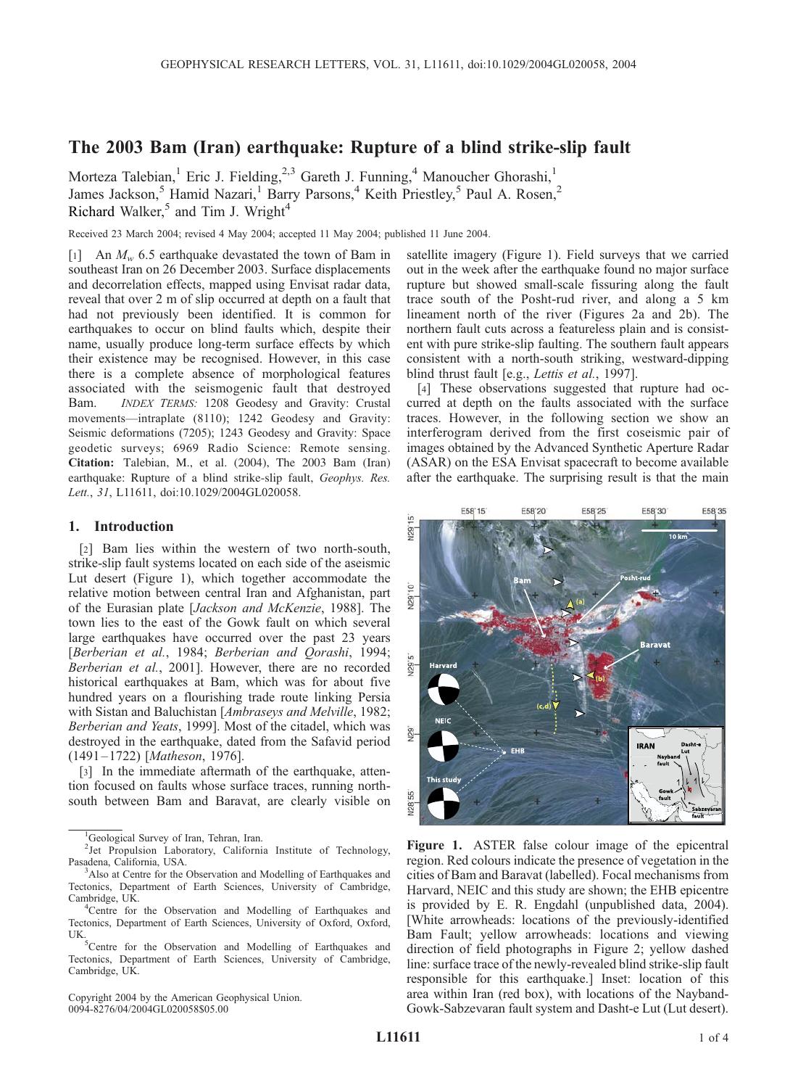# The 2003 Bam (Iran) earthquake: Rupture of a blind strike-slip fault

Morteza Talebian,<sup>1</sup> Eric J. Fielding,<sup>2,3</sup> Gareth J. Funning,<sup>4</sup> Manoucher Ghorashi,<sup>1</sup> James Jackson,<sup>5</sup> Hamid Nazari,<sup>1</sup> Barry Parsons,<sup>4</sup> Keith Priestley,<sup>5</sup> Paul A. Rosen,<sup>2</sup> Richard Walker,<sup>5</sup> and Tim J. Wright<sup>4</sup>

Received 23 March 2004; revised 4 May 2004; accepted 11 May 2004; published 11 June 2004.

[1] An  $M_w$  6.5 earthquake devastated the town of Bam in southeast Iran on 26 December 2003. Surface displacements and decorrelation effects, mapped using Envisat radar data, reveal that over 2 m of slip occurred at depth on a fault that had not previously been identified. It is common for earthquakes to occur on blind faults which, despite their name, usually produce long-term surface effects by which their existence may be recognised. However, in this case there is a complete absence of morphological features associated with the seismogenic fault that destroyed Bam. INDEX TERMS: 1208 Geodesy and Gravity: Crustal movements—intraplate (8110); 1242 Geodesy and Gravity: Seismic deformations (7205); 1243 Geodesy and Gravity: Space geodetic surveys; 6969 Radio Science: Remote sensing. Citation: Talebian, M., et al. (2004), The 2003 Bam (Iran) earthquake: Rupture of a blind strike-slip fault, *Geophys. Res.* Lett., 31, L11611, doi:10.1029/2004GL020058.

### 1. Introduction

[2] Bam lies within the western of two north-south, strike-slip fault systems located on each side of the aseismic Lut desert (Figure 1), which together accommodate the relative motion between central Iran and Afghanistan, part of the Eurasian plate [Jackson and McKenzie, 1988]. The town lies to the east of the Gowk fault on which several large earthquakes have occurred over the past 23 years [Berberian et al., 1984; Berberian and Qorashi, 1994; Berberian et al., 2001]. However, there are no recorded historical earthquakes at Bam, which was for about five hundred years on a flourishing trade route linking Persia with Sistan and Baluchistan [Ambraseys and Melville, 1982; Berberian and Yeats, 1999]. Most of the citadel, which was destroyed in the earthquake, dated from the Safavid period (1491 – 1722) [Matheson, 1976].

[3] In the immediate aftermath of the earthquake, attention focused on faults whose surface traces, running northsouth between Bam and Baravat, are clearly visible on

Copyright 2004 by the American Geophysical Union. 0094-8276/04/2004GL020058\$05.00

satellite imagery (Figure 1). Field surveys that we carried out in the week after the earthquake found no major surface rupture but showed small-scale fissuring along the fault trace south of the Posht-rud river, and along a 5 km lineament north of the river (Figures 2a and 2b). The northern fault cuts across a featureless plain and is consistent with pure strike-slip faulting. The southern fault appears consistent with a north-south striking, westward-dipping blind thrust fault [e.g., Lettis et al., 1997].

[4] These observations suggested that rupture had occurred at depth on the faults associated with the surface traces. However, in the following section we show an interferogram derived from the first coseismic pair of images obtained by the Advanced Synthetic Aperture Radar (ASAR) on the ESA Envisat spacecraft to become available after the earthquake. The surprising result is that the main



Figure 1. ASTER false colour image of the epicentral region. Red colours indicate the presence of vegetation in the cities of Bam and Baravat (labelled). Focal mechanisms from Harvard, NEIC and this study are shown; the EHB epicentre is provided by E. R. Engdahl (unpublished data, 2004). [White arrowheads: locations of the previously-identified Bam Fault; yellow arrowheads: locations and viewing direction of field photographs in Figure 2; yellow dashed line: surface trace of the newly-revealed blind strike-slip fault responsible for this earthquake.] Inset: location of this area within Iran (red box), with locations of the Nayband-Gowk-Sabzevaran fault system and Dasht-e Lut (Lut desert).

<sup>&</sup>lt;sup>1</sup>Geological Survey of Iran, Tehran, Iran.

<sup>&</sup>lt;sup>2</sup>Jet Propulsion Laboratory, California Institute of Technology, Pasadena, California, USA. <sup>3</sup>

<sup>&</sup>lt;sup>3</sup>Also at Centre for the Observation and Modelling of Earthquakes and Tectonics, Department of Earth Sciences, University of Cambridge, Cambridge, UK. <sup>4</sup>

<sup>&</sup>lt;sup>4</sup>Centre for the Observation and Modelling of Earthquakes and Tectonics, Department of Earth Sciences, University of Oxford, Oxford, UK.

<sup>&</sup>lt;sup>5</sup>Centre for the Observation and Modelling of Earthquakes and Tectonics, Department of Earth Sciences, University of Cambridge, Cambridge, UK.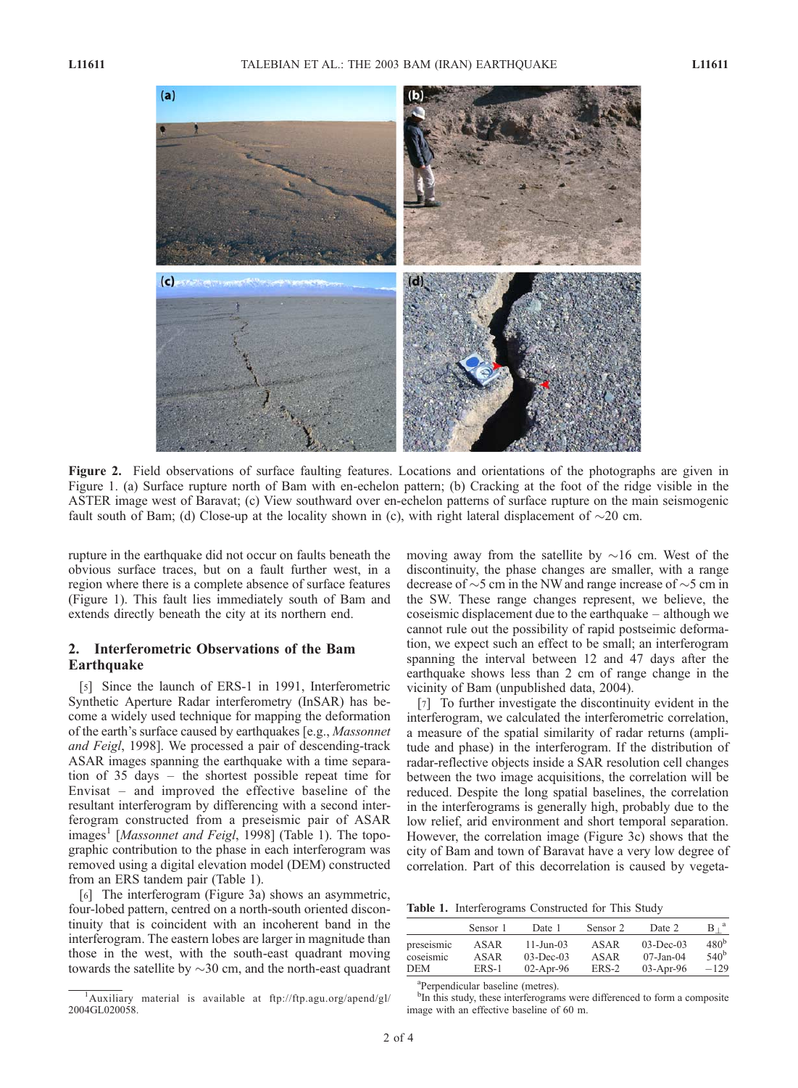

Figure 2. Field observations of surface faulting features. Locations and orientations of the photographs are given in Figure 1. (a) Surface rupture north of Bam with en-echelon pattern; (b) Cracking at the foot of the ridge visible in the ASTER image west of Baravat; (c) View southward over en-echelon patterns of surface rupture on the main seismogenic fault south of Bam; (d) Close-up at the locality shown in (c), with right lateral displacement of  $\sim$ 20 cm.

rupture in the earthquake did not occur on faults beneath the obvious surface traces, but on a fault further west, in a region where there is a complete absence of surface features (Figure 1). This fault lies immediately south of Bam and extends directly beneath the city at its northern end.

## 2. Interferometric Observations of the Bam Earthquake

[5] Since the launch of ERS-1 in 1991, Interferometric Synthetic Aperture Radar interferometry (InSAR) has become a widely used technique for mapping the deformation of the earth's surface caused by earthquakes [e.g., Massonnet and Feigl, 1998]. We processed a pair of descending-track ASAR images spanning the earthquake with a time separation of 35 days – the shortest possible repeat time for Envisat – and improved the effective baseline of the resultant interferogram by differencing with a second interferogram constructed from a preseismic pair of ASAR images<sup>1</sup> [*Massonnet and Feigl*, 1998] (Table 1). The topographic contribution to the phase in each interferogram was removed using a digital elevation model (DEM) constructed from an ERS tandem pair (Table 1).

[6] The interferogram (Figure 3a) shows an asymmetric, four-lobed pattern, centred on a north-south oriented discontinuity that is coincident with an incoherent band in the interferogram. The eastern lobes are larger in magnitude than those in the west, with the south-east quadrant moving towards the satellite by  $\sim$ 30 cm, and the north-east quadrant moving away from the satellite by  $\sim$ 16 cm. West of the discontinuity, the phase changes are smaller, with a range decrease of  $\sim$  5 cm in the NW and range increase of  $\sim$  5 cm in the SW. These range changes represent, we believe, the coseismic displacement due to the earthquake – although we cannot rule out the possibility of rapid postseimic deformation, we expect such an effect to be small; an interferogram spanning the interval between 12 and 47 days after the earthquake shows less than 2 cm of range change in the vicinity of Bam (unpublished data, 2004).

[7] To further investigate the discontinuity evident in the interferogram, we calculated the interferometric correlation, a measure of the spatial similarity of radar returns (amplitude and phase) in the interferogram. If the distribution of radar-reflective objects inside a SAR resolution cell changes between the two image acquisitions, the correlation will be reduced. Despite the long spatial baselines, the correlation in the interferograms is generally high, probably due to the low relief, arid environment and short temporal separation. However, the correlation image (Figure 3c) shows that the city of Bam and town of Baravat have a very low degree of correlation. Part of this decorrelation is caused by vegeta-

Table 1. Interferograms Constructed for This Study

|            | Sensor 1 | Date 1                 | Sensor 2 | Date 2          | $B^{\dagger}$    |
|------------|----------|------------------------|----------|-----------------|------------------|
| preseismic | ASAR     | $11 - \text{Jun} - 03$ | ASAR     | $03-Dec-03$     | 480 <sup>b</sup> |
| coseismic  | ASAR     | $03-Dec-03$            | ASAR     | $07 - Jan - 04$ | 540 <sup>b</sup> |
| <b>DEM</b> | $ERS-1$  | $02$ -Apr-96           | ERS-2    | $03$ -Apr-96    | $-129$           |

a Perpendicular baseline (metres).

<sup>&</sup>lt;sup>1</sup>Auxiliary material is available at ftp://ftp.agu.org/apend/gl/ 2004GL020058.

<sup>&</sup>lt;sup>b</sup>In this study, these interferograms were differenced to form a composite image with an effective baseline of 60 m.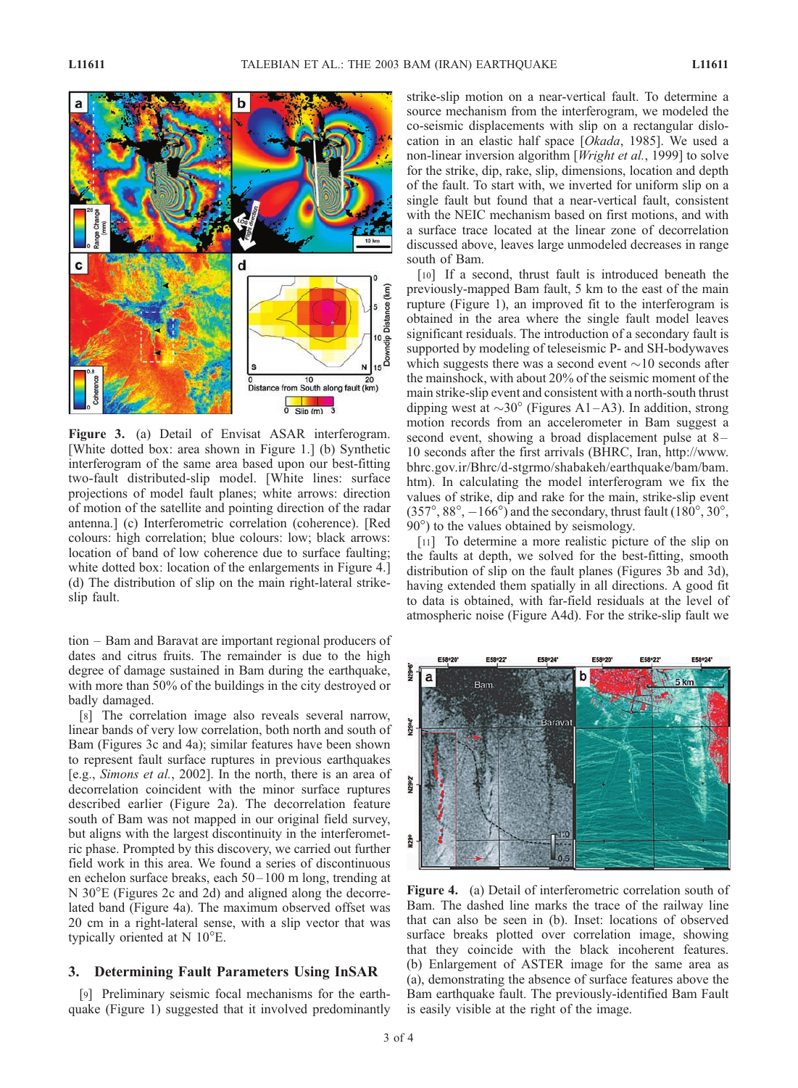

Figure 3. (a) Detail of Envisat ASAR interferogram. [White dotted box: area shown in Figure 1.] (b) Synthetic interferogram of the same area based upon our best-fitting two-fault distributed-slip model. [White lines: surface projections of model fault planes; white arrows: direction of motion of the satellite and pointing direction of the radar antenna.] (c) Interferometric correlation (coherence). [Red colours: high correlation; blue colours: low; black arrows: location of band of low coherence due to surface faulting; white dotted box: location of the enlargements in Figure 4.] (d) The distribution of slip on the main right-lateral strikeslip fault.

tion – Bam and Baravat are important regional producers of dates and citrus fruits. The remainder is due to the high degree of damage sustained in Bam during the earthquake, with more than 50% of the buildings in the city destroyed or badly damaged.

[8] The correlation image also reveals several narrow, linear bands of very low correlation, both north and south of Bam (Figures 3c and 4a); similar features have been shown to represent fault surface ruptures in previous earthquakes [e.g., Simons et al., 2002]. In the north, there is an area of decorrelation coincident with the minor surface ruptures described earlier (Figure 2a). The decorrelation feature south of Bam was not mapped in our original field survey, but aligns with the largest discontinuity in the interferometric phase. Prompted by this discovery, we carried out further field work in this area. We found a series of discontinuous en echelon surface breaks, each 50– 100 m long, trending at N 30°E (Figures 2c and 2d) and aligned along the decorrelated band (Figure 4a). The maximum observed offset was 20 cm in a right-lateral sense, with a slip vector that was typically oriented at  $N 10^{\circ}$ E.

### 3. Determining Fault Parameters Using InSAR

[9] Preliminary seismic focal mechanisms for the earthquake (Figure 1) suggested that it involved predominantly strike-slip motion on a near-vertical fault. To determine a source mechanism from the interferogram, we modeled the co-seismic displacements with slip on a rectangular dislocation in an elastic half space [Okada, 1985]. We used a non-linear inversion algorithm [*Wright et al.*, 1999] to solve for the strike, dip, rake, slip, dimensions, location and depth of the fault. To start with, we inverted for uniform slip on a single fault but found that a near-vertical fault, consistent with the NEIC mechanism based on first motions, and with a surface trace located at the linear zone of decorrelation discussed above, leaves large unmodeled decreases in range south of Bam.

[10] If a second, thrust fault is introduced beneath the previously-mapped Bam fault, 5 km to the east of the main rupture (Figure 1), an improved fit to the interferogram is obtained in the area where the single fault model leaves significant residuals. The introduction of a secondary fault is supported by modeling of teleseismic P- and SH-bodywaves which suggests there was a second event  $\sim$ 10 seconds after the mainshock, with about 20% of the seismic moment of the main strike-slip event and consistent with a north-south thrust dipping west at  $\sim 30^\circ$  (Figures A1–A3). In addition, strong motion records from an accelerometer in Bam suggest a second event, showing a broad displacement pulse at  $8-$ 10 seconds after the first arrivals (BHRC, Iran, http://www. bhrc.gov.ir/Bhrc/d-stgrmo/shabakeh/earthquake/bam/bam. htm). In calculating the model interferogram we fix the values of strike, dip and rake for the main, strike-slip event  $(357^{\circ}, 88^{\circ}, -166^{\circ})$  and the secondary, thrust fault  $(180^{\circ}, 30^{\circ})$ , 90°) to the values obtained by seismology.

[11] To determine a more realistic picture of the slip on the faults at depth, we solved for the best-fitting, smooth distribution of slip on the fault planes (Figures 3b and 3d), having extended them spatially in all directions. A good fit to data is obtained, with far-field residuals at the level of atmospheric noise (Figure A4d). For the strike-slip fault we



Figure 4. (a) Detail of interferometric correlation south of Bam. The dashed line marks the trace of the railway line that can also be seen in (b). Inset: locations of observed surface breaks plotted over correlation image, showing that they coincide with the black incoherent features. (b) Enlargement of ASTER image for the same area as (a), demonstrating the absence of surface features above the Bam earthquake fault. The previously-identified Bam Fault is easily visible at the right of the image.